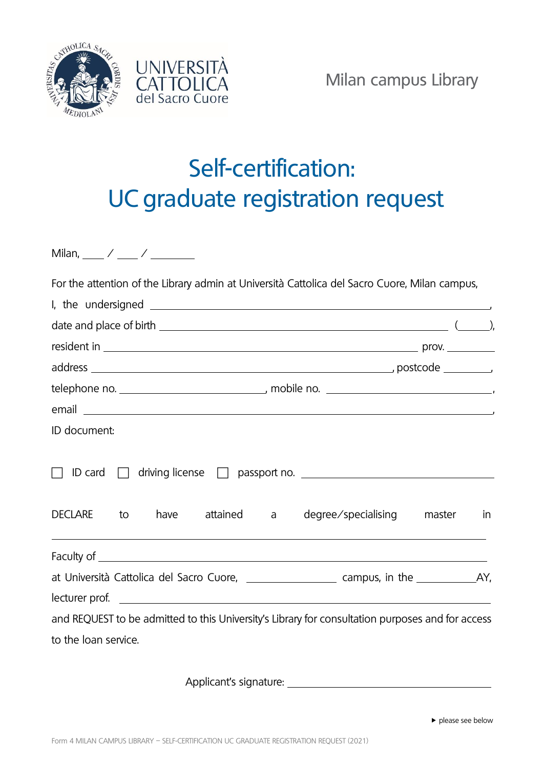



## Self-certification: UC graduate registration request

Milan,  $\frac{1}{2}$  /  $\frac{1}{2}$  /  $\frac{1}{2}$ 

For the attention of the Library admin at Università Cattolica del Sacro Cuore, Milan campus,

| date and place of birth $\sqrt{2}$ and place of birth $\sqrt{2}$ and $\sqrt{2}$ and $\sqrt{2}$ and $\sqrt{2}$ and $\sqrt{2}$ and $\sqrt{2}$ and $\sqrt{2}$ and $\sqrt{2}$ and $\sqrt{2}$ and $\sqrt{2}$ and $\sqrt{2}$ and $\sqrt{2}$ and $\sqrt{2}$ and $\sqrt{2}$ and $\$ |  |                                               |  |  |
|-----------------------------------------------------------------------------------------------------------------------------------------------------------------------------------------------------------------------------------------------------------------------------|--|-----------------------------------------------|--|--|
|                                                                                                                                                                                                                                                                             |  |                                               |  |  |
|                                                                                                                                                                                                                                                                             |  |                                               |  |  |
|                                                                                                                                                                                                                                                                             |  |                                               |  |  |
|                                                                                                                                                                                                                                                                             |  |                                               |  |  |
| ID document:                                                                                                                                                                                                                                                                |  |                                               |  |  |
| ID card $\Box$<br>driving license and passport no. <u>and a series and contact</u><br>DECLARE to                                                                                                                                                                            |  | have attained a degree/specialising master in |  |  |
|                                                                                                                                                                                                                                                                             |  |                                               |  |  |
| at Università Cattolica del Sacro Cuore, _______________________ campus, in the _____________________________                                                                                                                                                               |  |                                               |  |  |
|                                                                                                                                                                                                                                                                             |  |                                               |  |  |
| and REQUEST to be admitted to this University's Library for consultation purposes and for access                                                                                                                                                                            |  |                                               |  |  |
| to the loan service.                                                                                                                                                                                                                                                        |  |                                               |  |  |
|                                                                                                                                                                                                                                                                             |  |                                               |  |  |

Applicant's signature: